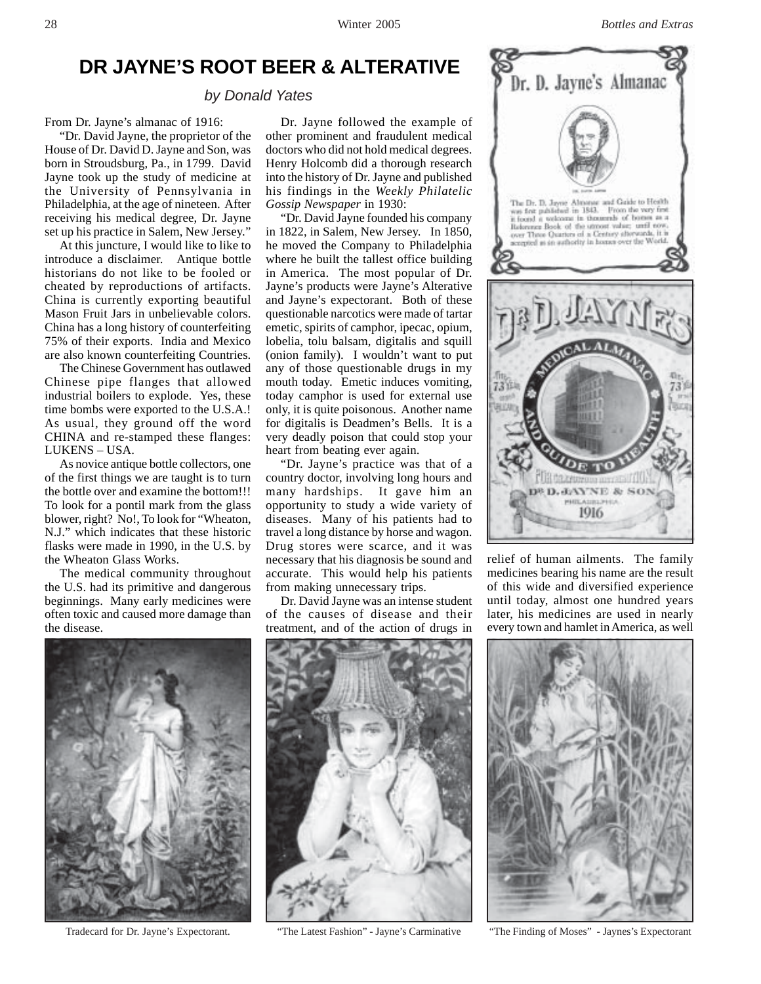# **DR JAYNE'S ROOT BEER & ALTERATIVE**

*by Donald Yates*

From Dr. Jayne's almanac of 1916:

"Dr. David Jayne, the proprietor of the House of Dr. David D. Jayne and Son, was born in Stroudsburg, Pa., in 1799. David Jayne took up the study of medicine at the University of Pennsylvania in Philadelphia, at the age of nineteen. After receiving his medical degree, Dr. Jayne set up his practice in Salem, New Jersey."

At this juncture, I would like to like to introduce a disclaimer. Antique bottle historians do not like to be fooled or cheated by reproductions of artifacts. China is currently exporting beautiful Mason Fruit Jars in unbelievable colors. China has a long history of counterfeiting 75% of their exports. India and Mexico are also known counterfeiting Countries.

The Chinese Government has outlawed Chinese pipe flanges that allowed industrial boilers to explode. Yes, these time bombs were exported to the U.S.A.! As usual, they ground off the word CHINA and re-stamped these flanges: LUKENS – USA.

As novice antique bottle collectors, one of the first things we are taught is to turn the bottle over and examine the bottom!!! To look for a pontil mark from the glass blower, right? No!, To look for "Wheaton, N.J." which indicates that these historic flasks were made in 1990, in the U.S. by the Wheaton Glass Works.

The medical community throughout the U.S. had its primitive and dangerous beginnings. Many early medicines were often toxic and caused more damage than the disease.

Dr. Jayne followed the example of other prominent and fraudulent medical doctors who did not hold medical degrees. Henry Holcomb did a thorough research into the history of Dr. Jayne and published his findings in the *Weekly Philatelic Gossip Newspaper* in 1930:

"Dr. David Jayne founded his company in 1822, in Salem, New Jersey. In 1850, he moved the Company to Philadelphia where he built the tallest office building in America. The most popular of Dr. Jayne's products were Jayne's Alterative and Jayne's expectorant. Both of these questionable narcotics were made of tartar emetic, spirits of camphor, ipecac, opium, lobelia, tolu balsam, digitalis and squill (onion family). I wouldn't want to put any of those questionable drugs in my mouth today. Emetic induces vomiting, today camphor is used for external use only, it is quite poisonous. Another name for digitalis is Deadmen's Bells. It is a very deadly poison that could stop your heart from beating ever again.

"Dr. Jayne's practice was that of a country doctor, involving long hours and many hardships. It gave him an opportunity to study a wide variety of diseases. Many of his patients had to travel a long distance by horse and wagon. Drug stores were scarce, and it was necessary that his diagnosis be sound and accurate. This would help his patients from making unnecessary trips.

Dr. David Jayne was an intense student of the causes of disease and their treatment, and of the action of drugs in



relief of human ailments. The family medicines bearing his name are the result of this wide and diversified experience until today, almost one hundred years later, his medicines are used in nearly every town and hamlet in America, as well







Tradecard for Dr. Jayne's Expectorant. "The Latest Fashion" - Jayne's Carminative "The Finding of Moses" - Jaynes's Expectorant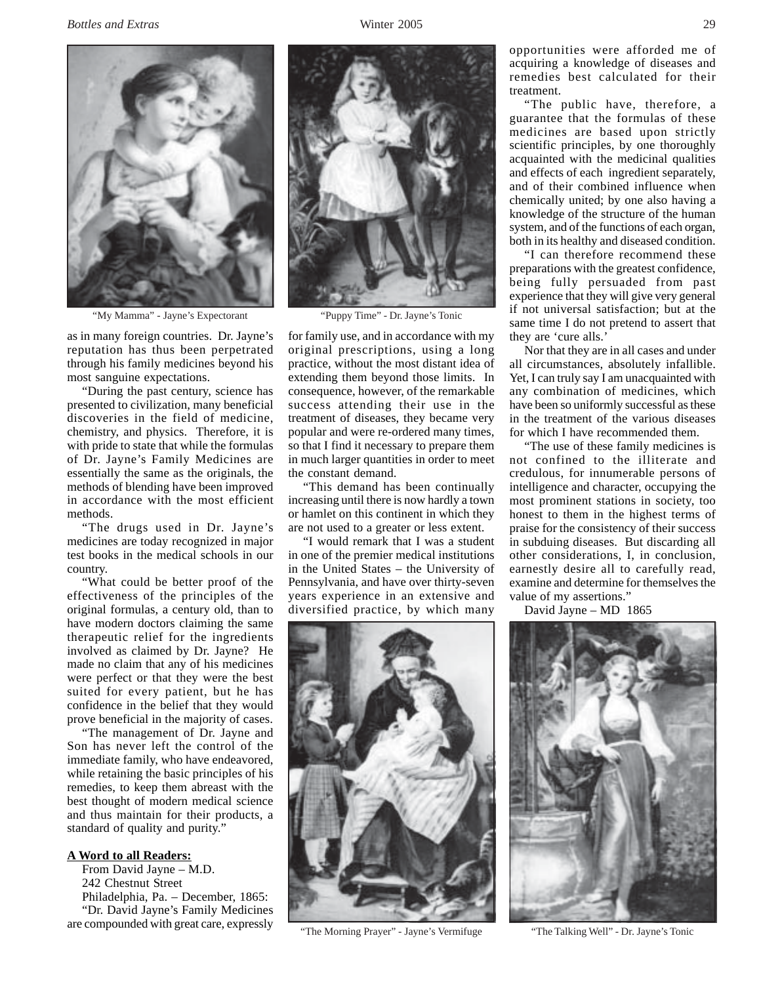

"My Mamma" - Jayne's Expectorant "Puppy Time" - Dr. Jayne's Tonic

as in many foreign countries. Dr. Jayne's reputation has thus been perpetrated through his family medicines beyond his most sanguine expectations.

"During the past century, science has presented to civilization, many beneficial discoveries in the field of medicine, chemistry, and physics. Therefore, it is with pride to state that while the formulas of Dr. Jayne's Family Medicines are essentially the same as the originals, the methods of blending have been improved in accordance with the most efficient methods.

"The drugs used in Dr. Jayne's medicines are today recognized in major test books in the medical schools in our country.

"What could be better proof of the effectiveness of the principles of the original formulas, a century old, than to have modern doctors claiming the same therapeutic relief for the ingredients involved as claimed by Dr. Jayne? He made no claim that any of his medicines were perfect or that they were the best suited for every patient, but he has confidence in the belief that they would prove beneficial in the majority of cases.

"The management of Dr. Jayne and Son has never left the control of the immediate family, who have endeavored, while retaining the basic principles of his remedies, to keep them abreast with the best thought of modern medical science and thus maintain for their products, a standard of quality and purity."

## **A Word to all Readers:**

From David Jayne – M.D. 242 Chestnut Street Philadelphia, Pa. – December, 1865: "Dr. David Jayne's Family Medicines are compounded with great care, expressly



for family use, and in accordance with my original prescriptions, using a long practice, without the most distant idea of extending them beyond those limits. In consequence, however, of the remarkable success attending their use in the treatment of diseases, they became very popular and were re-ordered many times, so that I find it necessary to prepare them in much larger quantities in order to meet the constant demand.

"This demand has been continually increasing until there is now hardly a town or hamlet on this continent in which they are not used to a greater or less extent.

"I would remark that I was a student in one of the premier medical institutions in the United States – the University of Pennsylvania, and have over thirty-seven years experience in an extensive and diversified practice, by which many



"The Morning Prayer" - Jayne's Vermifuge "The Talking Well" - Dr. Jayne's Tonic

opportunities were afforded me of acquiring a knowledge of diseases and remedies best calculated for their treatment.

"The public have, therefore, a guarantee that the formulas of these medicines are based upon strictly scientific principles, by one thoroughly acquainted with the medicinal qualities and effects of each ingredient separately, and of their combined influence when chemically united; by one also having a knowledge of the structure of the human system, and of the functions of each organ, both in its healthy and diseased condition.

"I can therefore recommend these preparations with the greatest confidence, being fully persuaded from past experience that they will give very general if not universal satisfaction; but at the same time I do not pretend to assert that they are 'cure alls.'

Nor that they are in all cases and under all circumstances, absolutely infallible. Yet, I can truly say I am unacquainted with any combination of medicines, which have been so uniformly successful as these in the treatment of the various diseases for which I have recommended them.

"The use of these family medicines is not confined to the illiterate and credulous, for innumerable persons of intelligence and character, occupying the most prominent stations in society, too honest to them in the highest terms of praise for the consistency of their success in subduing diseases. But discarding all other considerations, I, in conclusion, earnestly desire all to carefully read, examine and determine for themselves the value of my assertions."

David Jayne – MD 1865

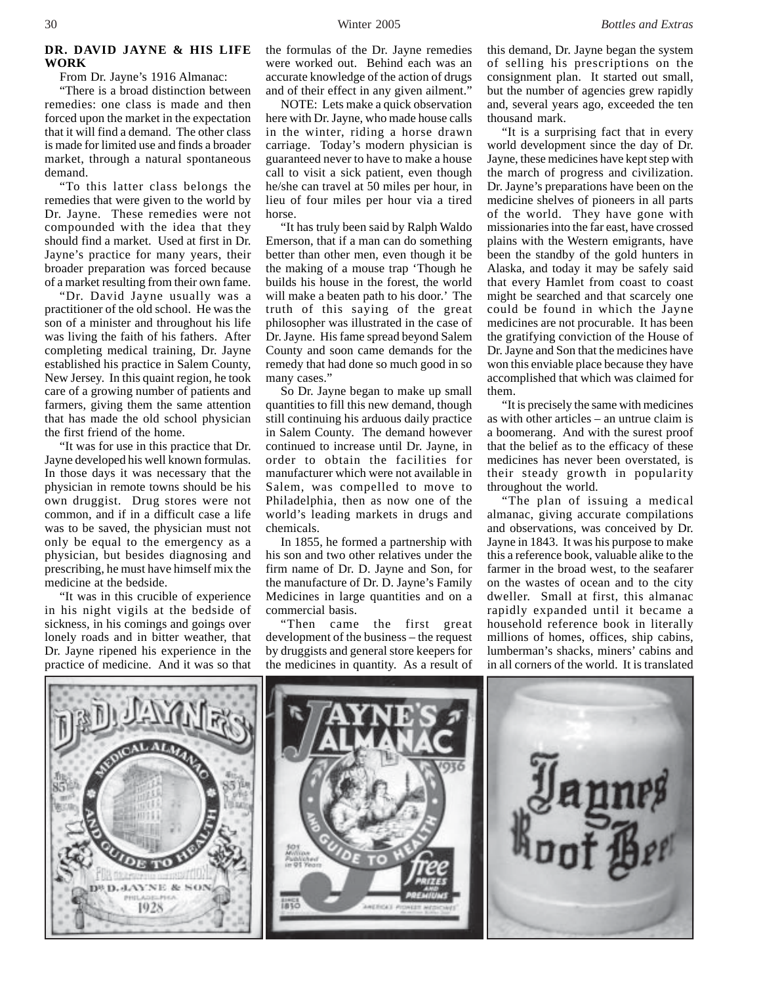## **DR. DAVID JAYNE & HIS LIFE WORK**

From Dr. Jayne's 1916 Almanac:

"There is a broad distinction between remedies: one class is made and then forced upon the market in the expectation that it will find a demand. The other class is made for limited use and finds a broader market, through a natural spontaneous demand.

"To this latter class belongs the remedies that were given to the world by Dr. Jayne. These remedies were not compounded with the idea that they should find a market. Used at first in Dr. Jayne's practice for many years, their broader preparation was forced because of a market resulting from their own fame.

"Dr. David Jayne usually was a practitioner of the old school. He was the son of a minister and throughout his life was living the faith of his fathers. After completing medical training, Dr. Jayne established his practice in Salem County, New Jersey. In this quaint region, he took care of a growing number of patients and farmers, giving them the same attention that has made the old school physician the first friend of the home.

"It was for use in this practice that Dr. Jayne developed his well known formulas. In those days it was necessary that the physician in remote towns should be his own druggist. Drug stores were not common, and if in a difficult case a life was to be saved, the physician must not only be equal to the emergency as a physician, but besides diagnosing and prescribing, he must have himself mix the medicine at the bedside.

"It was in this crucible of experience in his night vigils at the bedside of sickness, in his comings and goings over lonely roads and in bitter weather, that Dr. Jayne ripened his experience in the practice of medicine. And it was so that

the formulas of the Dr. Jayne remedies were worked out. Behind each was an accurate knowledge of the action of drugs and of their effect in any given ailment."

NOTE: Lets make a quick observation here with Dr. Jayne, who made house calls in the winter, riding a horse drawn carriage. Today's modern physician is guaranteed never to have to make a house call to visit a sick patient, even though he/she can travel at 50 miles per hour, in lieu of four miles per hour via a tired horse.

"It has truly been said by Ralph Waldo Emerson, that if a man can do something better than other men, even though it be the making of a mouse trap 'Though he builds his house in the forest, the world will make a beaten path to his door.' The truth of this saying of the great philosopher was illustrated in the case of Dr. Jayne. His fame spread beyond Salem County and soon came demands for the remedy that had done so much good in so many cases."

So Dr. Jayne began to make up small quantities to fill this new demand, though still continuing his arduous daily practice in Salem County. The demand however continued to increase until Dr. Jayne, in order to obtain the facilities for manufacturer which were not available in Salem, was compelled to move to Philadelphia, then as now one of the world's leading markets in drugs and chemicals.

In 1855, he formed a partnership with his son and two other relatives under the firm name of Dr. D. Jayne and Son, for the manufacture of Dr. D. Jayne's Family Medicines in large quantities and on a commercial basis.

"Then came the first great development of the business – the request by druggists and general store keepers for the medicines in quantity. As a result of this demand, Dr. Jayne began the system of selling his prescriptions on the consignment plan. It started out small, but the number of agencies grew rapidly and, several years ago, exceeded the ten thousand mark.

"It is a surprising fact that in every world development since the day of Dr. Jayne, these medicines have kept step with the march of progress and civilization. Dr. Jayne's preparations have been on the medicine shelves of pioneers in all parts of the world. They have gone with missionaries into the far east, have crossed plains with the Western emigrants, have been the standby of the gold hunters in Alaska, and today it may be safely said that every Hamlet from coast to coast might be searched and that scarcely one could be found in which the Jayne medicines are not procurable. It has been the gratifying conviction of the House of Dr. Jayne and Son that the medicines have won this enviable place because they have accomplished that which was claimed for them.

"It is precisely the same with medicines as with other articles – an untrue claim is a boomerang. And with the surest proof that the belief as to the efficacy of these medicines has never been overstated, is their steady growth in popularity throughout the world.

"The plan of issuing a medical almanac, giving accurate compilations and observations, was conceived by Dr. Jayne in 1843. It was his purpose to make this a reference book, valuable alike to the farmer in the broad west, to the seafarer on the wastes of ocean and to the city dweller. Small at first, this almanac rapidly expanded until it became a household reference book in literally millions of homes, offices, ship cabins, lumberman's shacks, miners' cabins and in all corners of the world. It is translated